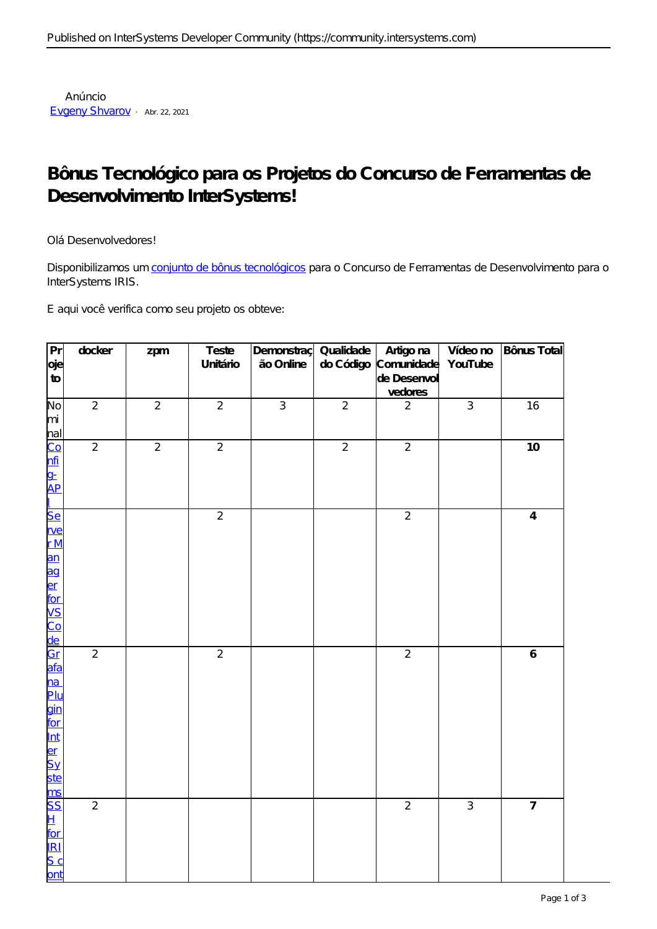## Bônus Tecnológico para os Projetos do Concurso de Ferramentas de Desenvolvimento InterSystems!

Olá Desenvolvedores!

Disponibilizamos um conjunto de bônus tecnológicos para o Concurso de Ferramentas de Desenvolvimento para o InterSystems IRIS.

E aqui você verifica como seu projeto os obteve:

| Pr<br>oje<br>${\tt to}$                                                                                   | docker         | zpm            | Teste<br>Unitário | Demonstraç<br>ão Online | Qualidade<br>do Código | Artigo na<br>Comunidade<br>de Desenvol<br>vedores | Vídeo no<br>YouTube | Bônus Total      |
|-----------------------------------------------------------------------------------------------------------|----------------|----------------|-------------------|-------------------------|------------------------|---------------------------------------------------|---------------------|------------------|
| No<br>mi                                                                                                  | $\overline{2}$ | $\overline{2}$ | $\overline{2}$    | $\overline{3}$          | $\overline{2}$         | $\overline{2}$                                    | $\overline{3}$      | 16               |
| nal<br>Co<br>nfi<br>g<br>-                                                                                | $\overline{2}$ | $\overline{2}$ | $\overline{2}$    |                         | $\overline{2}$         | $\overline{2}$                                    |                     | 10               |
| $\overline{\text{Se}}$<br><u>rve</u><br>rN<br>an<br>anger<br>Code<br>Code<br>Code<br>Code<br>Code<br>Code |                |                | $\overline{2}$    |                         |                        | $\overline{2}$                                    |                     | $\overline{4}$   |
| <mark>na</mark><br>Plu<br>gin<br>The Elerge Syde<br>So Home Syde<br>So Home Syde                          | $\overline{2}$ |                | $\overline{2}$    |                         |                        | $\overline{2}$                                    |                     | $\boldsymbol{6}$ |
| ont                                                                                                       | $\overline{2}$ |                |                   |                         |                        | $\overline{2}$                                    | $\overline{3}$      | $\overline{7}$   |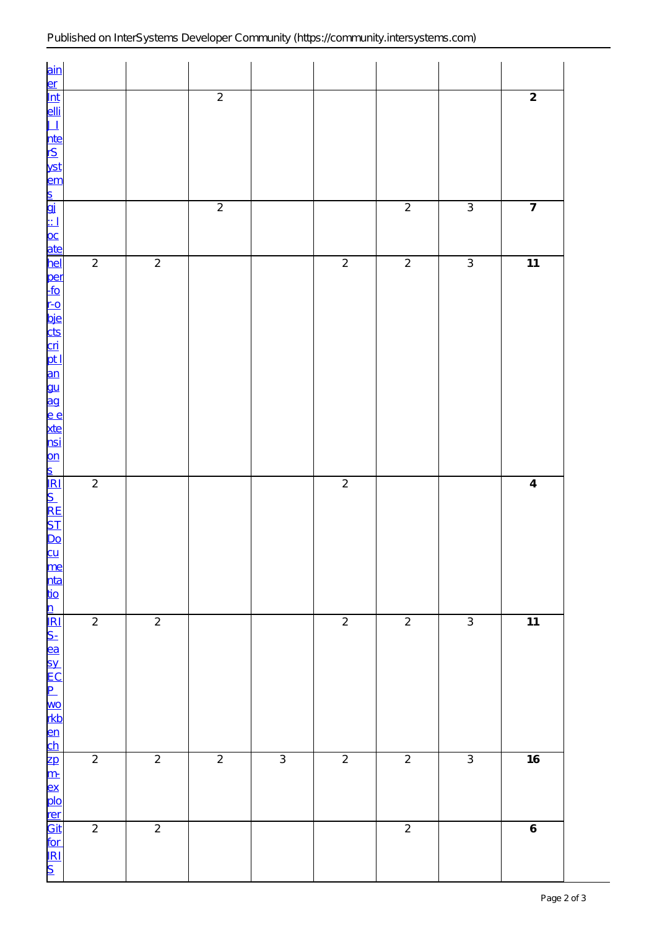| $rac{\text{ain}}{\text{ln} \cdot \text{ln}}$                                                                                                                                                                                   |                |                |                |                |                |                |                |                  |
|--------------------------------------------------------------------------------------------------------------------------------------------------------------------------------------------------------------------------------|----------------|----------------|----------------|----------------|----------------|----------------|----------------|------------------|
|                                                                                                                                                                                                                                |                |                | $\overline{2}$ |                |                |                |                | $\overline{2}$   |
| <u>elli<br/>11 nte</u><br>12 yst<br>12 m                                                                                                                                                                                       |                |                |                |                |                |                |                |                  |
|                                                                                                                                                                                                                                |                |                | $\overline{2}$ |                |                | $\overline{2}$ | $\overline{3}$ | $\overline{7}$   |
|                                                                                                                                                                                                                                |                |                |                |                |                |                |                |                  |
|                                                                                                                                                                                                                                | $\overline{2}$ | $\overline{2}$ |                |                | $\overline{2}$ | $\overline{2}$ | $\overline{3}$ | $\overline{11}$  |
|                                                                                                                                                                                                                                |                |                |                |                |                |                |                |                  |
|                                                                                                                                                                                                                                |                |                |                |                |                |                |                |                  |
|                                                                                                                                                                                                                                |                |                |                |                |                |                |                |                  |
|                                                                                                                                                                                                                                |                |                |                |                |                |                |                |                  |
|                                                                                                                                                                                                                                |                |                |                |                |                |                |                |                  |
|                                                                                                                                                                                                                                |                |                |                |                |                |                |                |                  |
|                                                                                                                                                                                                                                |                |                |                |                |                |                |                |                  |
|                                                                                                                                                                                                                                |                |                |                |                |                |                |                |                  |
|                                                                                                                                                                                                                                |                |                |                |                |                |                |                |                  |
| to the control of the control of the control of the control of the control of the control of the control of the control of the control of the control of the control of the control of the control of the control of the contr | $\overline{2}$ |                |                |                | $\overline{2}$ |                |                | $\overline{4}$   |
|                                                                                                                                                                                                                                |                |                |                |                |                |                |                |                  |
|                                                                                                                                                                                                                                |                |                |                |                |                |                |                |                  |
|                                                                                                                                                                                                                                |                |                |                |                |                |                |                |                  |
|                                                                                                                                                                                                                                |                |                |                |                |                |                |                |                  |
|                                                                                                                                                                                                                                |                |                |                |                |                |                |                |                  |
|                                                                                                                                                                                                                                |                |                |                |                |                |                |                |                  |
|                                                                                                                                                                                                                                | $\overline{2}$ | $\overline{2}$ |                |                | $\overline{2}$ | $\overline{2}$ | $\overline{3}$ | $\overline{11}$  |
|                                                                                                                                                                                                                                |                |                |                |                |                |                |                |                  |
|                                                                                                                                                                                                                                |                |                |                |                |                |                |                |                  |
|                                                                                                                                                                                                                                |                |                |                |                |                |                |                |                  |
|                                                                                                                                                                                                                                |                |                |                |                |                |                |                |                  |
|                                                                                                                                                                                                                                |                |                |                |                |                |                |                |                  |
|                                                                                                                                                                                                                                | $\overline{2}$ | $\overline{2}$ | $\overline{2}$ | $\overline{3}$ | $\overline{2}$ | $\overline{2}$ | $\overline{3}$ | 16               |
|                                                                                                                                                                                                                                |                |                |                |                |                |                |                |                  |
|                                                                                                                                                                                                                                |                |                |                |                |                |                |                |                  |
|                                                                                                                                                                                                                                |                |                |                |                |                |                |                |                  |
|                                                                                                                                                                                                                                |                |                |                |                |                |                |                |                  |
| 이 지만 이 이 이 어머니 다 다 다 다 다 다 다 다 다                                                                                                                                                                                               | $\sqrt{2}$     | $\overline{2}$ |                |                |                | $\sqrt{2}$     |                | $\boldsymbol{6}$ |